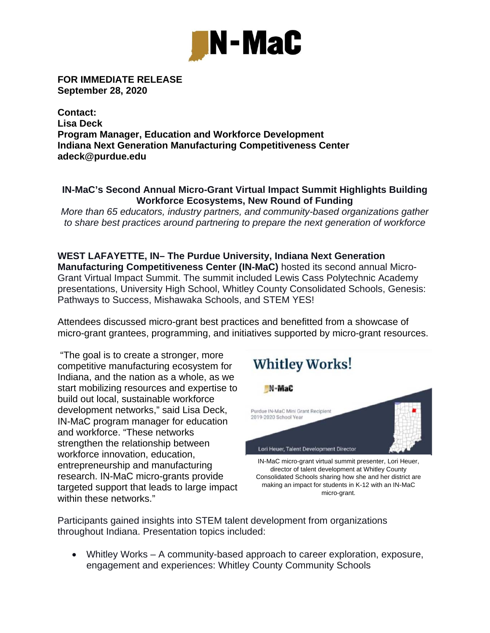

**FOR IMMEDIATE RELEASE September 28, 2020** 

**Contact: Lisa Deck Program Manager, Education and Workforce Development Indiana Next Generation Manufacturing Competitiveness Center adeck@purdue.edu** 

## **IN-MaC's Second Annual Micro-Grant Virtual Impact Summit Highlights Building Workforce Ecosystems, New Round of Funding**

*More than 65 educators, industry partners, and community-based organizations gather to share best practices around partnering to prepare the next generation of workforce*

**WEST LAFAYETTE, IN– The Purdue University, Indiana Next Generation Manufacturing Competitiveness Center (IN-MaC)** hosted its second annual Micro-Grant Virtual Impact Summit. The summit included Lewis Cass Polytechnic Academy presentations, University High School, Whitley County Consolidated Schools, Genesis: Pathways to Success, Mishawaka Schools, and STEM YES!

Attendees discussed micro-grant best practices and benefitted from a showcase of micro-grant grantees, programming, and initiatives supported by micro-grant resources.

 "The goal is to create a stronger, more competitive manufacturing ecosystem for Indiana, and the nation as a whole, as we start mobilizing resources and expertise to build out local, sustainable workforce development networks," said Lisa Deck, IN-MaC program manager for education and workforce. "These networks strengthen the relationship between workforce innovation, education, entrepreneurship and manufacturing research. IN-MaC micro-grants provide targeted support that leads to large impact within these networks."



Participants gained insights into STEM talent development from organizations throughout Indiana. Presentation topics included:

 Whitley Works – A community-based approach to career exploration, exposure, engagement and experiences: Whitley County Community Schools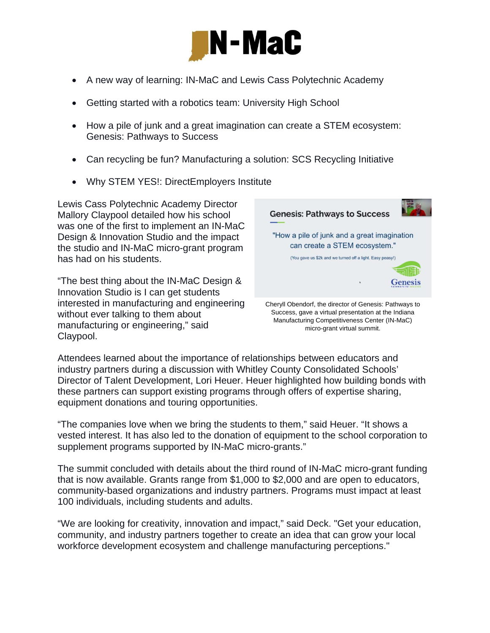

- A new way of learning: IN-MaC and Lewis Cass Polytechnic Academy
- Getting started with a robotics team: University High School
- How a pile of junk and a great imagination can create a STEM ecosystem: Genesis: Pathways to Success
- Can recycling be fun? Manufacturing a solution: SCS Recycling Initiative
- Why STEM YES!: DirectEmployers Institute

Lewis Cass Polytechnic Academy Director Mallory Claypool detailed how his school was one of the first to implement an IN-MaC Design & Innovation Studio and the impact the studio and IN-MaC micro-grant program has had on his students.

"The best thing about the IN-MaC Design & Innovation Studio is I can get students interested in manufacturing and engineering without ever talking to them about manufacturing or engineering," said Claypool.



Manufacturing Competitiveness Center (IN-MaC) micro-grant virtual summit.

Attendees learned about the importance of relationships between educators and industry partners during a discussion with Whitley County Consolidated Schools' Director of Talent Development, Lori Heuer. Heuer highlighted how building bonds with these partners can support existing programs through offers of expertise sharing, equipment donations and touring opportunities.

"The companies love when we bring the students to them," said Heuer. "It shows a vested interest. It has also led to the donation of equipment to the school corporation to supplement programs supported by IN-MaC micro-grants."

The summit concluded with details about the third round of IN-MaC micro-grant funding that is now available. Grants range from \$1,000 to \$2,000 and are open to educators, community-based organizations and industry partners. Programs must impact at least 100 individuals, including students and adults.

"We are looking for creativity, innovation and impact," said Deck. "Get your education, community, and industry partners together to create an idea that can grow your local workforce development ecosystem and challenge manufacturing perceptions."